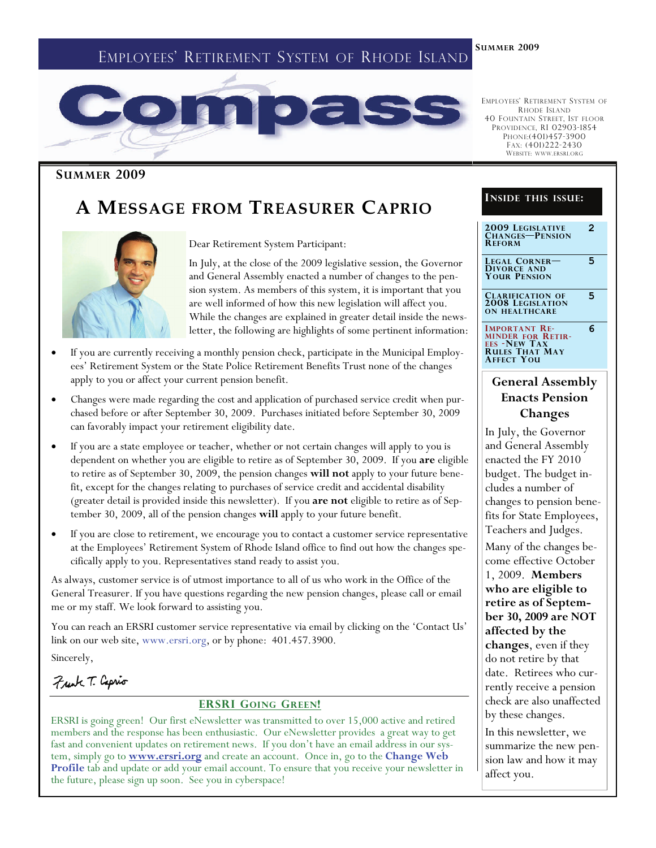# EMPLOYEES' RETIREMENT SYSTEM OF RHODE ISLAND



#### **SUMMER 2009**

# **A MESSAGE FROM TREASURER CAPRIO**



Dear Retirement System Participant:

In July, at the close of the 2009 legislative session, the Governor and General Assembly enacted a number of changes to the pension system. As members of this system, it is important that you are well informed of how this new legislation will affect you. While the changes are explained in greater detail inside the newsletter, the following are highlights of some pertinent information:

- If you are currently receiving a monthly pension check, participate in the Municipal Employees' Retirement System or the State Police Retirement Benefits Trust none of the changes apply to you or affect your current pension benefit.
- Changes were made regarding the cost and application of purchased service credit when purchased before or after September 30, 2009. Purchases initiated before September 30, 2009 can favorably impact your retirement eligibility date.
- If you are a state employee or teacher, whether or not certain changes will apply to you is dependent on whether you are eligible to retire as of September 30, 2009. If you **are** eligible to retire as of September 30, 2009, the pension changes **will not** apply to your future benefit, except for the changes relating to purchases of service credit and accidental disability (greater detail is provided inside this newsletter). If you **are not** eligible to retire as of September 30, 2009, all of the pension changes **will** apply to your future benefit.
- If you are close to retirement, we encourage you to contact a customer service representative at the Employees' Retirement System of Rhode Island office to find out how the changes specifically apply to you. Representatives stand ready to assist you.

As always, customer service is of utmost importance to all of us who work in the Office of the General Treasurer. If you have questions regarding the new pension changes, please call or email me or my staff. We look forward to assisting you.

You can reach an ERSRI customer service representative via email by clicking on the 'Contact Us' link on our web site, www.ersri.org, or by phone: 401.457.3900.

Sincerely,

Frank T. Caprio

#### **ERSRI GOING GREEN!**

ERSRI is going green! Our first eNewsletter was transmitted to over 15,000 active and retired members and the response has been enthusiastic. Our eNewsletter provides a great way to get fast and convenient updates on retirement news. If you don't have an email address in our system, simply go to **www.ersri.org** and create an account. Once in, go to the **Change Web Profile** tab and update or add your email account. To ensure that you receive your newsletter in the future, please sign up soon. See you in cyberspace!

EMPLOYEES' RETIREMENT SYSTEM OF RHODE ISLAND 40 FOUNTAIN STREET, 1ST FLOOR PROVIDENCE, RI 02903-1854 PHONE:(401)457-3900 FAX: (401)222-2430 WEBSITE: WWW.ERSRI.ORG

#### **INSIDE THIS ISSUE:**

**2009 LEGISLATIVE CHANGES—PENSION REFORM**

**2** 

**5** 

**5** 

**6** 

**LEGAL CORNER— DIVORCE AND YOUR PENSION**

**CLARIFICATION OF 2008 LEGISLATION ON HEALTHCARE** 

**IMPORTANT RE-MINDER FOR RETIR-EES -NEW TAX RULES THAT MAY AFFECT YOU**

### **General Assembly Enacts Pension Changes**

In July, the Governor and General Assembly enacted the FY 2010 budget. The budget includes a number of changes to pension benefits for State Employees, Teachers and Judges.

Many of the changes become effective October 1, 2009. **Members who are eligible to retire as of September 30, 2009 are NOT affected by the changes**, even if they do not retire by that date. Retirees who currently receive a pension check are also unaffected by these changes.

In this newsletter, we summarize the new pension law and how it may affect you.

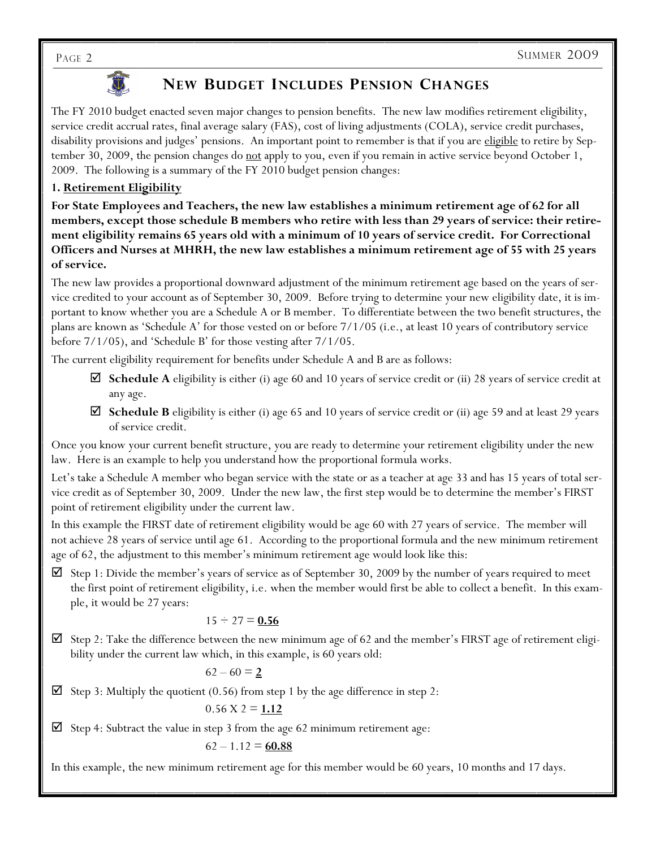

## **NEW BUDGET INCLUDES PENSION CHANGES**

The FY 2010 budget enacted seven major changes to pension benefits. The new law modifies retirement eligibility, service credit accrual rates, final average salary (FAS), cost of living adjustments (COLA), service credit purchases, disability provisions and judges' pensions. An important point to remember is that if you are eligible to retire by September 30, 2009, the pension changes do <u>not</u> apply to you, even if you remain in active service beyond October 1, 2009. The following is a summary of the FY 2010 budget pension changes:

### **1. Retirement Eligibility**

**For State Employees and Teachers, the new law establishes a minimum retirement age of 62 for all members, except those schedule B members who retire with less than 29 years of service: their retirement eligibility remains 65 years old with a minimum of 10 years of service credit. For Correctional Officers and Nurses at MHRH, the new law establishes a minimum retirement age of 55 with 25 years of service.** 

The new law provides a proportional downward adjustment of the minimum retirement age based on the years of service credited to your account as of September 30, 2009. Before trying to determine your new eligibility date, it is important to know whether you are a Schedule A or B member. To differentiate between the two benefit structures, the plans are known as 'Schedule A' for those vested on or before 7/1/05 (i.e., at least 10 years of contributory service before 7/1/05), and 'Schedule B' for those vesting after 7/1/05.

The current eligibility requirement for benefits under Schedule A and B are as follows:

- **Schedule A** eligibility is either (i) age 60 and 10 years of service credit or (ii) 28 years of service credit at any age.
- **Schedule B** eligibility is either (i) age 65 and 10 years of service credit or (ii) age 59 and at least 29 years of service credit.

Once you know your current benefit structure, you are ready to determine your retirement eligibility under the new law. Here is an example to help you understand how the proportional formula works.

Let's take a Schedule A member who began service with the state or as a teacher at age 33 and has 15 years of total service credit as of September 30, 2009. Under the new law, the first step would be to determine the member's FIRST point of retirement eligibility under the current law.

In this example the FIRST date of retirement eligibility would be age 60 with 27 years of service. The member will not achieve 28 years of service until age 61. According to the proportional formula and the new minimum retirement age of 62, the adjustment to this member's minimum retirement age would look like this:

 $\Sigma$  Step 1: Divide the member's years of service as of September 30, 2009 by the number of years required to meet the first point of retirement eligibility, i.e. when the member would first be able to collect a benefit. In this example, it would be 27 years:

#### $15 \div 27 = 0.56$

 $\boxtimes$  Step 2: Take the difference between the new minimum age of 62 and the member's FIRST age of retirement eligibility under the current law which, in this example, is 60 years old:

$$
62-60\equiv \underline{2}
$$

Step 3: Multiply the quotient (0.56) from step 1 by the age difference in step 2:

$$
0.56 \text{ X } 2 = \underline{1.12}
$$

Step 4: Subtract the value in step 3 from the age 62 minimum retirement age:

$$
62 - 1.12 = \underline{60.88}
$$

In this example, the new minimum retirement age for this member would be 60 years, 10 months and 17 days.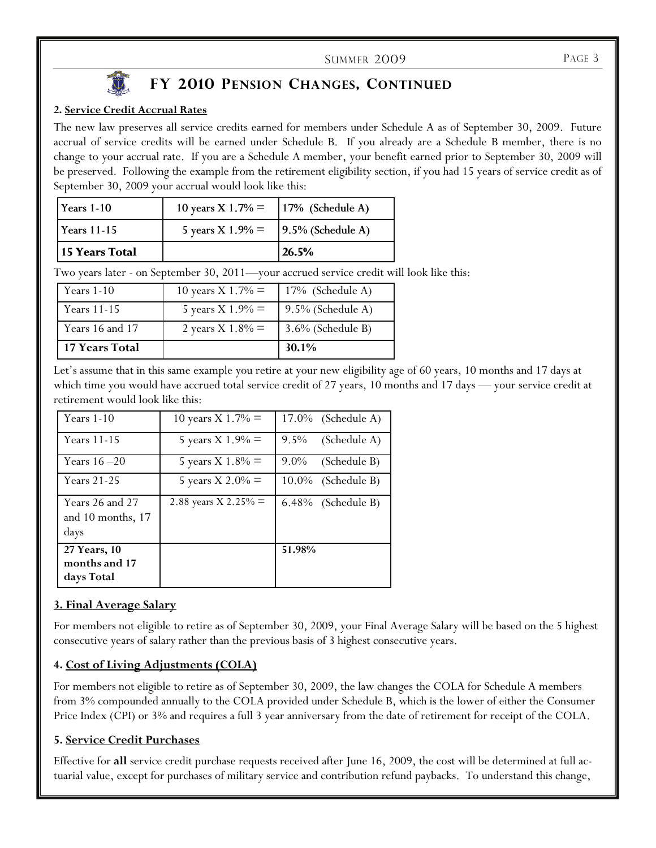#### SUMMER 2009 PAGE 3

#### **2. Service Credit Accrual Rates**

The new law preserves all service credits earned for members under Schedule A as of September 30, 2009. Future accrual of service credits will be earned under Schedule B. If you already are a Schedule B member, there is no change to your accrual rate. If you are a Schedule A member, your benefit earned prior to September 30, 2009 will be preserved. Following the example from the retirement eligibility section, if you had 15 years of service credit as of September 30, 2009 your accrual would look like this: **2010 PENSION CHANGES, CONTINUED**<br> **26.5%** CONTINUED crual Rates<br>
ves all service credits earned for members under Schedule A as equits will be earned under Schedule B. If you already are a S<br>
all rate. If you are a Schedu

| 15 Years Total     |                                       | 26.5%                |
|--------------------|---------------------------------------|----------------------|
| <b>Years</b> 11-15 | 5 years X $1.9\% =$                   | $9.5\%$ (Schedule A) |
| l Years 1-10       | 10 years X 1.7% = $ 17%$ (Schedule A) |                      |

Two years later - on September 30, 2011—your accrued service credit will look like this:

| Years 11-15           | 5 years X $1.9\% =$ | $9.5\%$ (Schedule A) |
|-----------------------|---------------------|----------------------|
| Years 16 and 17       | 2 years X 1.8% $=$  | $3.6\%$ (Schedule B) |
| <b>17 Years Total</b> |                     | 30.1%                |

Let's assume that in this same example you retire at your new eligibility age of 60 years, 10 months and 17 days at which time you would have accrued total service credit of 27 years, 10 months and 17 days — your service credit at retirement would look like this:

| Years $1-10$                                     | 10 years X 1.7% $=$    | $17.0\%$ (Schedule A)   |
|--------------------------------------------------|------------------------|-------------------------|
| Years 11-15                                      | 5 years X $1.9\% =$    | $9.5\%$<br>(Schedule A) |
| Years $16 - 20$                                  | 5 years X $1.8\% =$    | $9.0\%$<br>(Schedule B) |
| <b>Years 21-25</b>                               | 5 years X 2.0% $=$     | $10.0\%$ (Schedule B)   |
| Years 26 and 27<br>and $10$ months, $17$<br>days | 2.88 years X 2.25% $=$ | 6.48% (Schedule B)      |
| 27 Years, 10<br>months and 17<br>days Total      |                        | 51.98%                  |

#### **3. Final Average Salary**

For members not eligible to retire as of September 30, 2009, your Final Average Salary will be based on the 5 highest consecutive years of salary rather than the previous basis of 3 highest consecutive years.

#### **4. Cost of Living Adjustments (COLA)**

For members not eligible to retire as of September 30, 2009, the law changes the COLA for Schedule A members from 3% compounded annually to the COLA provided under Schedule B, which is the lower of either the Consumer Price Index (CPI) or 3% and requires a full 3 year anniversary from the date of retirement for receipt of the COLA.

#### **5. Service Credit Purchases**

Effective for **all** service credit purchase requests received after June 16, 2009, the cost will be determined at full actuarial value, except for purchases of military service and contribution refund paybacks. To understand this change,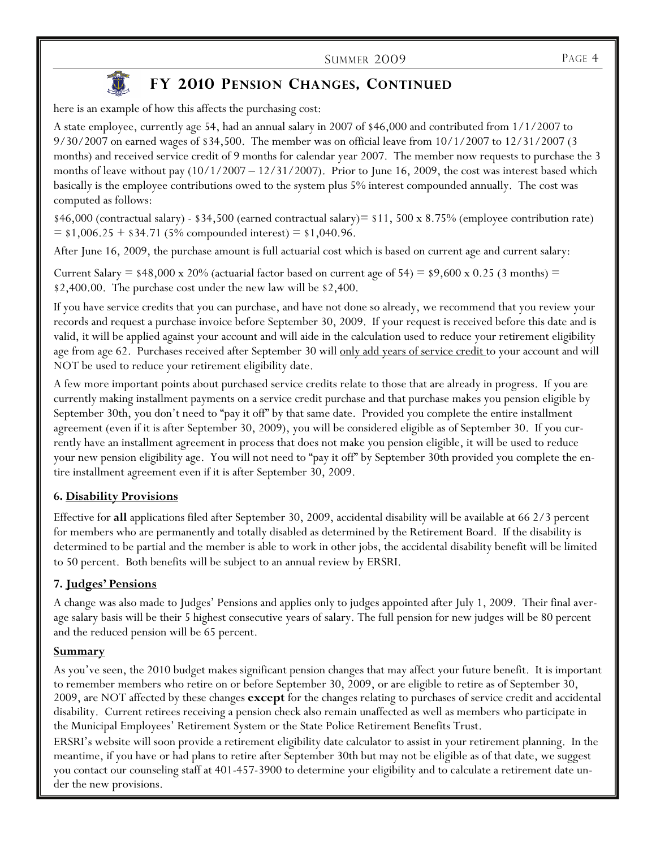

## **FY 2010 PENSION CHANGES, CONTINUED**

here is an example of how this affects the purchasing cost:

A state employee, currently age 54, had an annual salary in 2007 of \$46,000 and contributed from 1/1/2007 to 9/30/2007 on earned wages of \$34,500. The member was on official leave from 10/1/2007 to 12/31/2007 (3 months) and received service credit of 9 months for calendar year 2007. The member now requests to purchase the 3 months of leave without pay  $(10/1/2007 - 12/31/2007)$ . Prior to June 16, 2009, the cost was interest based which basically is the employee contributions owed to the system plus 5% interest compounded annually. The cost was computed as follows:

 $$46,000$  (contractual salary) -  $$34,500$  (earned contractual salary) =  $$11,500 \times 8.75\%$  (employee contribution rate)  $=$  \$1,006.25 + \$34.71 (5% compounded interest) = \$1,040.96.

After June 16, 2009, the purchase amount is full actuarial cost which is based on current age and current salary:

Current Salary  $=$  \$48,000 x 20% (actuarial factor based on current age of 54)  $=$  \$9,600 x 0.25 (3 months)  $=$ \$2,400.00. The purchase cost under the new law will be \$2,400.

If you have service credits that you can purchase, and have not done so already, we recommend that you review your records and request a purchase invoice before September 30, 2009. If your request is received before this date and is valid, it will be applied against your account and will aide in the calculation used to reduce your retirement eligibility age from age 62. Purchases received after September 30 will only add years of service credit to your account and will NOT be used to reduce your retirement eligibility date.

A few more important points about purchased service credits relate to those that are already in progress. If you are currently making installment payments on a service credit purchase and that purchase makes you pension eligible by September 30th, you don't need to "pay it off" by that same date. Provided you complete the entire installment agreement (even if it is after September 30, 2009), you will be considered eligible as of September 30. If you currently have an installment agreement in process that does not make you pension eligible, it will be used to reduce your new pension eligibility age. You will not need to "pay it off" by September 30th provided you complete the entire installment agreement even if it is after September 30, 2009.

#### **6. Disability Provisions**

Effective for **all** applications filed after September 30, 2009, accidental disability will be available at 66 2/3 percent for members who are permanently and totally disabled as determined by the Retirement Board. If the disability is determined to be partial and the member is able to work in other jobs, the accidental disability benefit will be limited to 50 percent. Both benefits will be subject to an annual review by ERSRI.

#### **7. Judges' Pensions**

A change was also made to Judges' Pensions and applies only to judges appointed after July 1, 2009. Their final average salary basis will be their 5 highest consecutive years of salary. The full pension for new judges will be 80 percent and the reduced pension will be 65 percent.

#### **Summary**

As you've seen, the 2010 budget makes significant pension changes that may affect your future benefit. It is important to remember members who retire on or before September 30, 2009, or are eligible to retire as of September 30, 2009, are NOT affected by these changes **except** for the changes relating to purchases of service credit and accidental disability. Current retirees receiving a pension check also remain unaffected as well as members who participate in the Municipal Employees' Retirement System or the State Police Retirement Benefits Trust.

ERSRI's website will soon provide a retirement eligibility date calculator to assist in your retirement planning. In the meantime, if you have or had plans to retire after September 30th but may not be eligible as of that date, we suggest you contact our counseling staff at 401-457-3900 to determine your eligibility and to calculate a retirement date under the new provisions.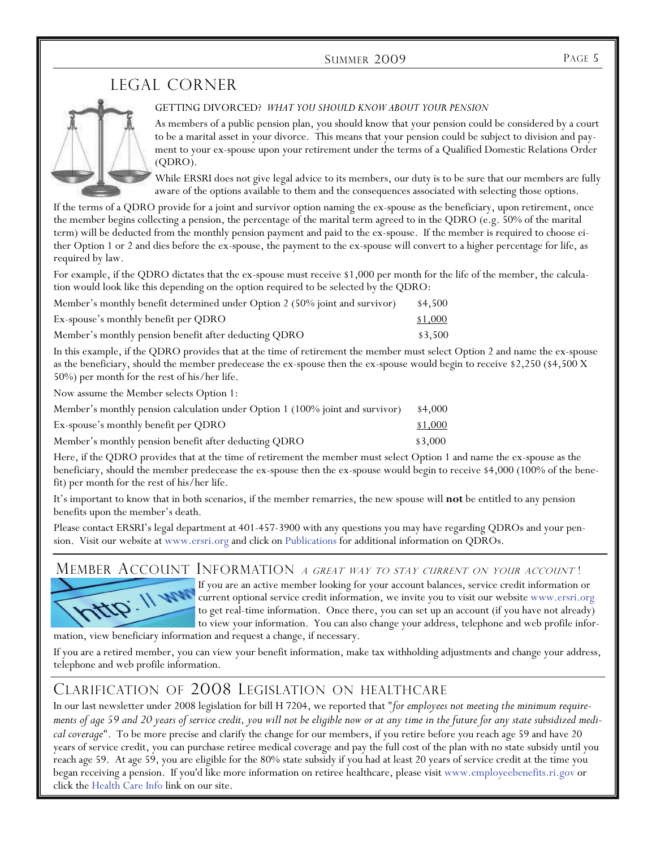#### SUMMER 2009 PAGE 5

## LEGAL CORNER



#### GETTING DIVORCED? *WHAT YOU SHOULD KNOW ABOUT YOUR PENSION*

As members of a public pension plan, you should know that your pension could be considered by a court to be a marital asset in your divorce. This means that your pension could be subject to division and payment to your ex-spouse upon your retirement under the terms of a Qualified Domestic Relations Order (QDRO).

While ERSRI does not give legal advice to its members, our duty is to be sure that our members are fully aware of the options available to them and the consequences associated with selecting those options.

If the terms of a QDRO provide for a joint and survivor option naming the ex-spouse as the beneficiary, upon retirement, once the member begins collecting a pension, the percentage of the marital term agreed to in the QDRO (e.g. 50% of the marital term) will be deducted from the monthly pension payment and paid to the ex-spouse. If the member is required to choose either Option 1 or 2 and dies before the ex-spouse, the payment to the ex-spouse will convert to a higher percentage for life, as required by law.

For example, if the QDRO dictates that the ex-spouse must receive \$1,000 per month for the life of the member, the calculation would look like this depending on the option required to be selected by the QDRO:

| Member's monthly benefit determined under Option 2 (50% joint and survivor) | \$4,500 |
|-----------------------------------------------------------------------------|---------|
| Ex-spouse's monthly benefit per QDRO                                        | \$1,000 |
| Member's monthly pension benefit after deducting QDRO                       | \$3,500 |

In this example, if the QDRO provides that at the time of retirement the member must select Option 2 and name the ex-spouse as the beneficiary, should the member predecease the ex-spouse then the ex-spouse would begin to receive \$2,250 (\$4,500 X 50%) per month for the rest of his/her life.

Now assume the Member selects Option 1:

| Member's monthly pension calculation under Option 1 (100% joint and survivor) | \$4,000 |
|-------------------------------------------------------------------------------|---------|
| Ex-spouse's monthly benefit per QDRO                                          | \$1,000 |
| Member's monthly pension benefit after deducting QDRO                         | \$3,000 |

Here, if the QDRO provides that at the time of retirement the member must select Option 1 and name the ex-spouse as the beneficiary, should the member predecease the ex-spouse then the ex-spouse would begin to receive \$4,000 (100% of the benefit) per month for the rest of his/her life.

It's important to know that in both scenarios, if the member remarries, the new spouse will **not** be entitled to any pension benefits upon the member's death.

Please contact ERSRI's legal department at 401-457-3900 with any questions you may have regarding QDROs and your pension. Visit our website at www.ersri.org and click on Publications for additional information on QDROs.

### MEMBER ACCOUNT INFORMATION *a great way to stay current on your account*!



If you are an active member looking for your account balances, service credit information or current optional service credit information, we invite you to visit our website www.ersri.org to get real-time information. Once there, you can set up an account (if you have not already) to view your information. You can also change your address, telephone and web profile infor-

mation, view beneficiary information and request a change, if necessary.

If you are a retired member, you can view your benefit information, make tax withholding adjustments and change your address, telephone and web profile information.

## CLARIFICATION OF 2008 LEGISLATION ON HEALTHCARE

In our last newsletter under 2008 legislation for bill H 7204, we reported that "*for employees not meeting the minimum requirements of age 59 and 20 years of service credit, you will not be eligible now or at any time in the future for any state subsidized medical coverage*". To be more precise and clarify the change for our members, if you retire before you reach age 59 and have 20 years of service credit, you can purchase retiree medical coverage and pay the full cost of the plan with no state subsidy until you reach age 59. At age 59, you are eligible for the 80% state subsidy if you had at least 20 years of service credit at the time you began receiving a pension. If you'd like more information on retiree healthcare, please visit www.employeebenefits.ri.gov or click the Health Care Info link on our site.